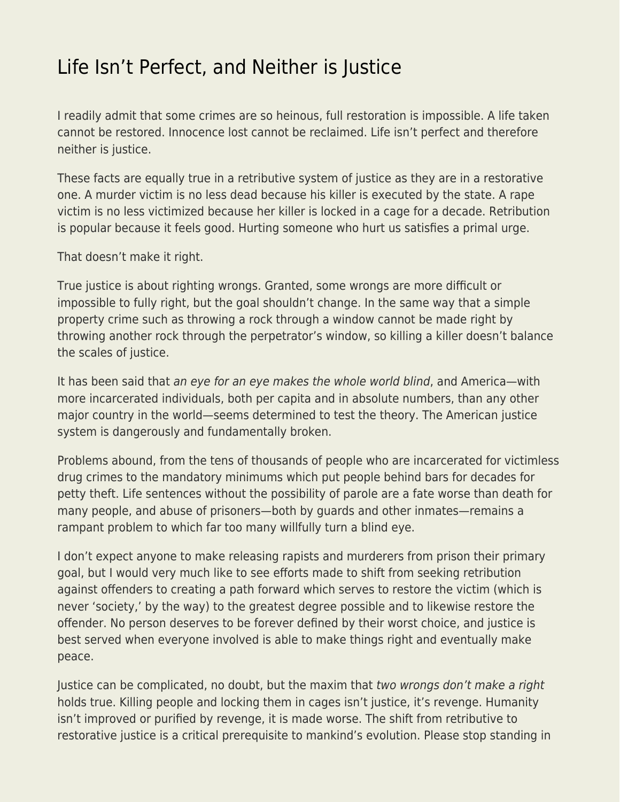## [Life Isn't Perfect, and Neither is Justice](https://everything-voluntary.com/life-isnt-perfect-neither-justice)

I readily admit that some crimes are so heinous, full restoration is impossible. A life taken cannot be restored. Innocence lost cannot be reclaimed. Life isn't perfect and therefore neither is justice.

These facts are equally true in a retributive system of justice as they are in a restorative one. A murder victim is no less dead because his killer is executed by the state. A rape victim is no less victimized because her killer is locked in a cage for a decade. Retribution is popular because it feels good. Hurting someone who hurt us satisfies a primal urge.

That doesn't make it right.

True justice is about righting wrongs. Granted, some wrongs are more difficult or impossible to fully right, but the goal shouldn't change. In the same way that a simple property crime such as throwing a rock through a window cannot be made right by throwing another rock through the perpetrator's window, so killing a killer doesn't balance the scales of justice.

It has been said that an eye for an eye makes the whole world blind, and America—with more incarcerated individuals, both per capita and in absolute numbers, than any other major country in the world—seems determined to test the theory. The American justice system is dangerously and fundamentally broken.

Problems abound, from the tens of thousands of people who are incarcerated for victimless drug crimes to the mandatory minimums which put people behind bars for decades for petty theft. Life sentences without the possibility of parole are a fate worse than death for many people, and abuse of prisoners—both by guards and other inmates—remains a rampant problem to which far too many willfully turn a blind eye.

I don't expect anyone to make releasing rapists and murderers from prison their primary goal, but I would very much like to see efforts made to shift from seeking retribution against offenders to creating a path forward which serves to restore the victim (which is never 'society,' by the way) to the greatest degree possible and to likewise restore the offender. No person deserves to be forever defined by their worst choice, and justice is best served when everyone involved is able to make things right and eventually make peace.

Justice can be complicated, no doubt, but the maxim that two wrongs don't make a right holds true. Killing people and locking them in cages isn't justice, it's revenge. Humanity isn't improved or purified by revenge, it is made worse. The shift from retributive to restorative justice is a critical prerequisite to mankind's evolution. Please stop standing in